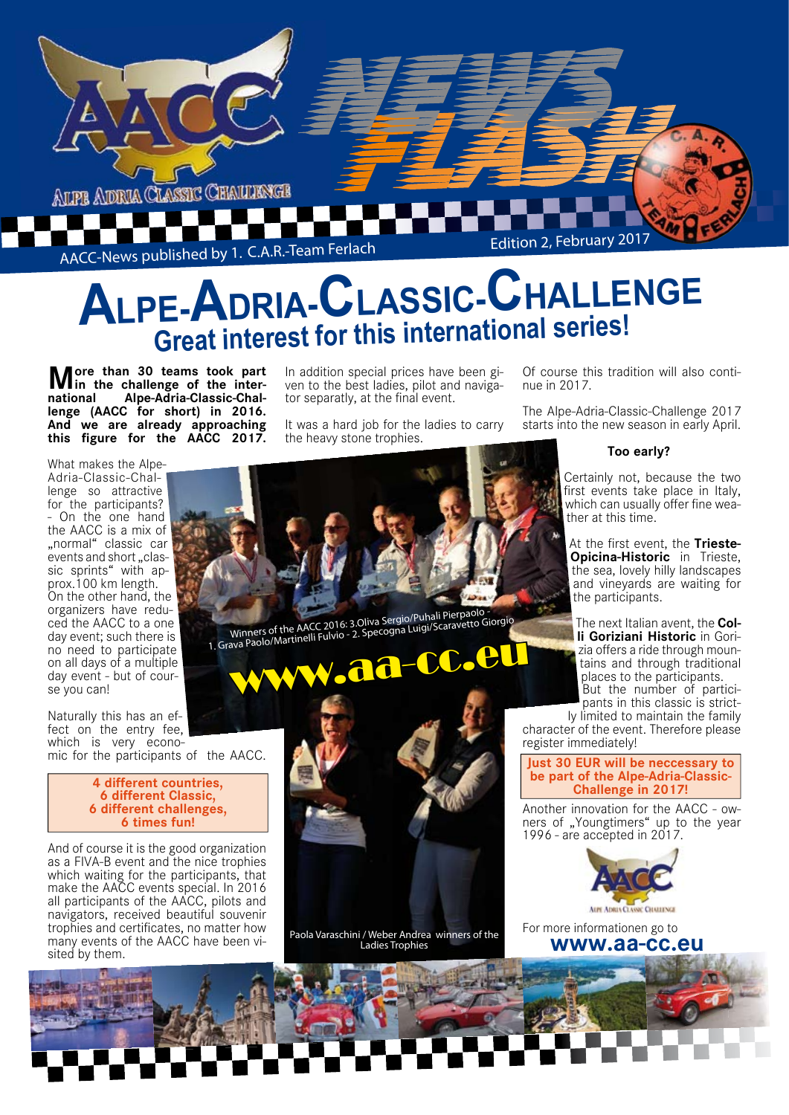

# **ALPE-ADRIA-CLASSIC-CHALLENGE Great interest for this international series!**

**More than 30 teams took part international Alpe-Adria-Classic-Challenge (AACC for short) in 2016. And we are already approaching this figure for the AACC 2017.**

What makes the Alpe-Adria-Classic-Challenge so attractive for the participants? - On the one hand the AACC is a mix of "normal" classic car events and short "classic sprints" with approx.100 km length. On the other hand, the organizers have reduced the AACC to a one day event; such there is no need to participate on all days of a multiple day event - but of course you can!

Naturally this has an effect on the entry fee, which is very economic for the participants of the AACC.

> **4 different countries, 6 different Classic, 6 different challenges, 6 times fun!**

And of course it is the good organization as a FIVA-B event and the nice trophies which waiting for the participants, that make the AACC events special. In 2016 all participants of the AACC, pilots and navigators, received beautiful souvenir trophies and certificates, no matter how many events of the AACC have been visited by them.

In addition special prices have been given to the best ladies, pilot and navigator separatly, at the final event.

It was a hard job for the ladies to carry the heavy stone trophies.

Of course this tradition will also continue in 2017.

The Alpe-Adria-Classic-Challenge 2017 starts into the new season in early April.

#### **Too early?**

Certainly not, because the two first events take place in Italy, which can usually offer fine weather at this time.

At the first event, the **Trieste-Opicina-Historic** in Trieste, the sea, lovely hilly landscapes and vineyards are waiting for the participants.

The next Italian avent, the **Colli Goriziani Historic** in Gorizia offers a ride through mountains and through traditional places to the participants. But the number of participants in this classic is strict-

ly limited to maintain the family character of the event. Therefore please register immediately!

**Just 30 EUR will be neccessary to be part of the Alpe-Adria-Classic-Challenge in 2017!**

Another innovation for the AACC - owners of "Youngtimers" up to the year 1996 - are accepted in 2017.



For more informationen go to  **www.aa-cc.eu**



Paola Varaschini / Weber Andrea winners of the Ladies Trophies